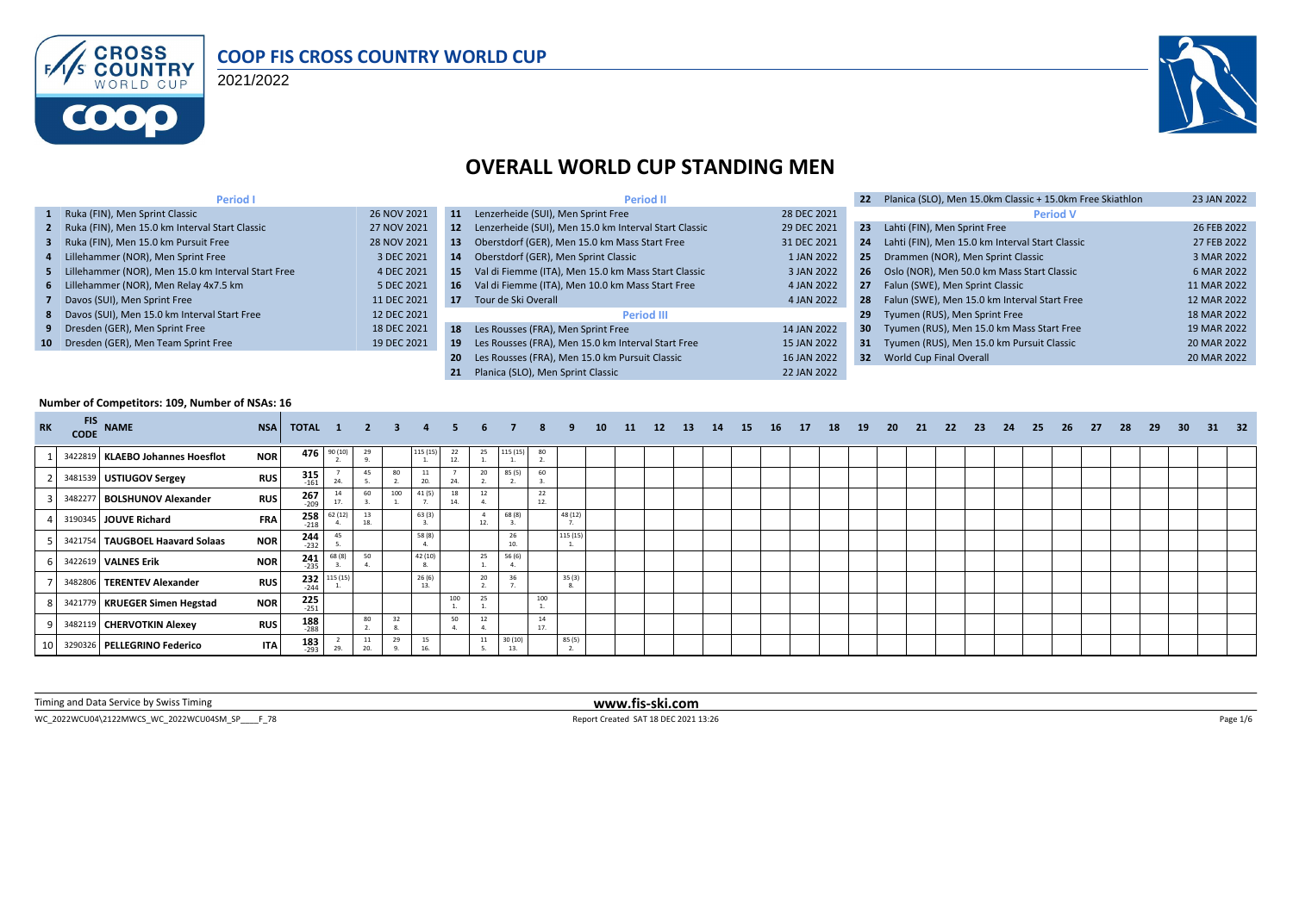

#### **COOP FIS CROSS COUNTRY WORLD CUP**

2021/2022



#### **OVERALL WORLD CUP STANDING MEN**

| <b>Period I</b>                                      |             |     | <b>Period II</b>                                         |             | 22              | Planica (SLO), Men 15.0km Classic + 15.0km Free Skiathlon | 23 JAN 2022 |
|------------------------------------------------------|-------------|-----|----------------------------------------------------------|-------------|-----------------|-----------------------------------------------------------|-------------|
| 1 Ruka (FIN), Men Sprint Classic                     | 26 NOV 2021 | 11  | Lenzerheide (SUI), Men Sprint Free                       | 28 DEC 2021 |                 | <b>Period V</b>                                           |             |
| 2 Ruka (FIN), Men 15.0 km Interval Start Classic     | 27 NOV 2021 |     | 12 Lenzerheide (SUI), Men 15.0 km Interval Start Classic | 29 DEC 2021 | 23              | Lahti (FIN), Men Sprint Free                              | 26 FEB 2022 |
| 3 Ruka (FIN), Men 15.0 km Pursuit Free               | 28 NOV 2021 | 13  | Oberstdorf (GER), Men 15.0 km Mass Start Free            | 31 DEC 2021 | 24              | Lahti (FIN), Men 15.0 km Interval Start Classic           | 27 FEB 2022 |
| 4 Lillehammer (NOR), Men Sprint Free                 | 3 DEC 2021  | 14  | Oberstdorf (GER), Men Sprint Classic                     | 1 JAN 2022  |                 | 25 Drammen (NOR), Men Sprint Classic                      | 3 MAR 2022  |
| 5 Lillehammer (NOR), Men 15.0 km Interval Start Free | 4 DEC 2021  | 15  | Val di Fiemme (ITA), Men 15.0 km Mass Start Classic      | 3 JAN 2022  |                 | 26 Oslo (NOR), Men 50.0 km Mass Start Classic             | 6 MAR 2022  |
| 6 Lillehammer (NOR), Men Relay 4x7.5 km              | 5 DEC 2021  | 16  | Val di Fiemme (ITA), Men 10.0 km Mass Start Free         | 4 JAN 2022  |                 | 27 Falun (SWE), Men Sprint Classic                        | 11 MAR 2022 |
| 7 Davos (SUI), Men Sprint Free                       | 11 DEC 2021 |     | 17 Tour de Ski Overall                                   | 4 JAN 2022  |                 | 28 Falun (SWE), Men 15.0 km Interval Start Free           | 12 MAR 2022 |
| 8 Davos (SUI), Men 15.0 km Interval Start Free       | 12 DEC 2021 |     | <b>Period III</b>                                        |             | 29              | Tyumen (RUS), Men Sprint Free                             | 18 MAR 2022 |
| 9 Dresden (GER), Men Sprint Free                     | 18 DEC 2021 |     | 18 Les Rousses (FRA), Men Sprint Free                    | 14 JAN 2022 | 30 <sub>1</sub> | Tyumen (RUS), Men 15.0 km Mass Start Free                 | 19 MAR 2022 |
| 10 Dresden (GER), Men Team Sprint Free               | 19 DEC 2021 | 19  | Les Rousses (FRA), Men 15.0 km Interval Start Free       | 15 JAN 2022 |                 | 31 Tyumen (RUS), Men 15.0 km Pursuit Classic              | 20 MAR 2022 |
|                                                      |             | -20 | Les Rousses (FRA), Men 15.0 km Pursuit Classic           | 16 JAN 2022 |                 | 32 World Cup Final Overall                                | 20 MAR 2022 |
|                                                      |             | 21  | Planica (SLO). Men Sprint Classic                        | 22 JAN 2022 |                 |                                                           |             |

#### **Number of Competitors: 109, Number of NSAs: 16**

| <b>RK</b> | <b>FIS</b><br><b>CODE</b> | <b>NAME</b>                      | <b>NSA</b> | <b>TOTAL 1 2 3</b> |             |           |     |           | -5.       | 6        |               | 8         | -9       | 10 | <b>11</b> | 12 | <b>13</b> | 14 | <b>15</b> | <b>16</b> | <b>17</b> | 18 | 19 | - 20 | 21 | - 22 | 23 | 24 | 25 | 26 | 27 | -28 | 29 | 30 <sup>°</sup> | - 31 | 32 |
|-----------|---------------------------|----------------------------------|------------|--------------------|-------------|-----------|-----|-----------|-----------|----------|---------------|-----------|----------|----|-----------|----|-----------|----|-----------|-----------|-----------|----|----|------|----|------|----|----|----|----|----|-----|----|-----------------|------|----|
|           |                           | 3422819 KLAEBO Johannes Hoesflot | <b>NOR</b> |                    | 476 90 (10) | 29        |     | 115 (15)  | 22<br>12. | 25       | 115 (15)      | 80        |          |    |           |    |           |    |           |           |           |    |    |      |    |      |    |    |    |    |    |     |    |                 |      |    |
|           |                           | 3481539 USTIUGOV Sergey          | <b>RUS</b> | $315$<br>$161$     | 24.         | 45        | 80  | 20.       | 24.       | 20       | 85 (5)        | 60        |          |    |           |    |           |    |           |           |           |    |    |      |    |      |    |    |    |    |    |     |    |                 |      |    |
|           |                           | 3482277 BOLSHUNOV Alexander      | <b>RUS</b> | $267 \atop 209$    | 14<br>17.   | 60        | 100 | 41(5)     | 18<br>14. | 12       |               | 22<br>12. |          |    |           |    |           |    |           |           |           |    |    |      |    |      |    |    |    |    |    |     |    |                 |      |    |
|           |                           | 3190345 JOUVE Richard            | <b>FRA</b> | 258<br>$-218$      | 62(12)      | 13<br>18. |     | 63(3)     |           | -4<br>12 | 68 (8)        |           | 48 (12)  |    |           |    |           |    |           |           |           |    |    |      |    |      |    |    |    |    |    |     |    |                 |      |    |
|           |                           | 3421754 TAUGBOEL Haavard Solaas  | <b>NOR</b> | $244$<br>$-232$    | 45          |           |     | 58 (8)    |           |          | 26<br>10      |           | 115 (15) |    |           |    |           |    |           |           |           |    |    |      |    |      |    |    |    |    |    |     |    |                 |      |    |
|           |                           | 3422619 <b>VALNES Erik</b>       | <b>NOR</b> | $241$<br>$-235$    | 68 (8)      | 50        |     | 42 (10)   |           | 25       | 56 (6)        |           |          |    |           |    |           |    |           |           |           |    |    |      |    |      |    |    |    |    |    |     |    |                 |      |    |
|           |                           | 3482806 TERENTEV Alexander       | <b>RUS</b> | 232<br>$-244$      | 115 (15)    |           |     | 26(6)     |           | 20       | 36            |           | 35(3)    |    |           |    |           |    |           |           |           |    |    |      |    |      |    |    |    |    |    |     |    |                 |      |    |
|           |                           | 3421779 KRUEGER Simen Hegstad    | <b>NOR</b> | 225<br>$-251$      |             |           |     |           | 100       | 25       |               | 100       |          |    |           |    |           |    |           |           |           |    |    |      |    |      |    |    |    |    |    |     |    |                 |      |    |
|           |                           | 3482119 CHERVOTKIN Alexey        | <b>RUS</b> | $188$<br>$-288$    |             | 80        |     |           | 50        | 12       |               | 14<br>17. |          |    |           |    |           |    |           |           |           |    |    |      |    |      |    |    |    |    |    |     |    |                 |      |    |
|           |                           | 3290326 PELLEGRINO Federico      | <b>ITA</b> | 183<br>$-293$      | 29.         | 11<br>20. | 29  | 15<br>16. |           | 11       | 30(10)<br>13. |           | 85 (5)   |    |           |    |           |    |           |           |           |    |    |      |    |      |    |    |    |    |    |     |    |                 |      |    |

Timing and Data Service by Swiss Timing **www.fis-ski.com**

WC\_2022WCU04\2122MWCS\_WC\_2022WCU04SM\_SP\_\_\_\_F\_78 <br>
Report Created SAT 18 DEC 2021 13:26 Report Created SAT 18 DEC 2021 13:26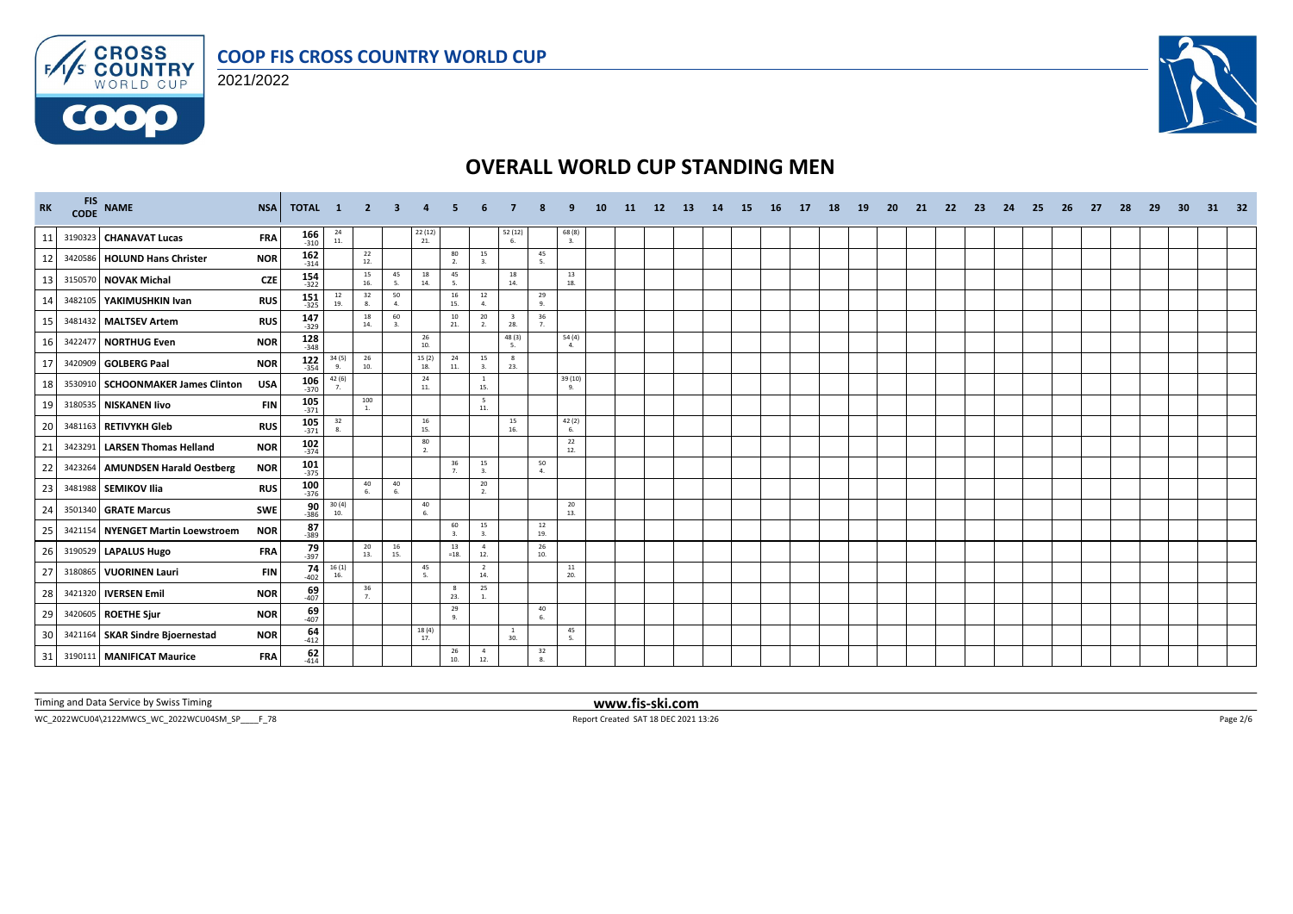



**COOO** 



# **OVERALL WORLD CUP STANDING MEN**

| RK | <b>FIS</b> | CODE NAME                         | <b>NSA</b> | <b>TOTAL</b>         | $\mathbf{1}$                                | - 2                     |           |                                                 |                      |                        |                                         |                                          |                        | 11 | 12 | -13- | -14 | -15 | -16 | -17 | 18 | -19 | <b>20</b> | 21 | -22 | -23 | -24 | 25 | -26 | -27 | -28 | 29 | -30 | 31 | 32 |
|----|------------|-----------------------------------|------------|----------------------|---------------------------------------------|-------------------------|-----------|-------------------------------------------------|----------------------|------------------------|-----------------------------------------|------------------------------------------|------------------------|----|----|------|-----|-----|-----|-----|----|-----|-----------|----|-----|-----|-----|----|-----|-----|-----|----|-----|----|----|
| 11 |            | 3190323 CHANAVAT Lucas            | <b>FRA</b> | $\frac{166}{310}$    | $\begin{array}{c} 24 \\ 11 \end{array}$     |                         |           | $\begin{array}{c} 22 \ (12) \\ 21. \end{array}$ |                      |                        | $\mathop{52\atop-6} \mathop{12\atop-6}$ |                                          | $68(8)$<br>3.          |    |    |      |     |     |     |     |    |     |           |    |     |     |     |    |     |     |     |    |     |    |    |
| 12 |            | 3420586 HOLUND Hans Christer      | <b>NOR</b> | $162$ <sub>314</sub> |                                             | 22<br>12.               |           |                                                 | 80<br>2.             | 15<br>3.               |                                         | 45<br>5.                                 |                        |    |    |      |     |     |     |     |    |     |           |    |     |     |     |    |     |     |     |    |     |    |    |
| 13 |            | 3150570 NOVAK Michal              | <b>CZE</b> | $154$ <sub>322</sub> |                                             | 15<br>16.               | 45<br>5.  | 18<br>14.                                       | 45                   |                        | 18<br>14.                               |                                          | 13<br>18.              |    |    |      |     |     |     |     |    |     |           |    |     |     |     |    |     |     |     |    |     |    |    |
| 14 |            | 3482105 YAKIMUSHKIN Ivan          | <b>RUS</b> | $151$ <sub>325</sub> | $\begin{array}{c} 12 \\ 19. \end{array}$    | 32<br>8.                | 50<br>4.  |                                                 | 16<br>15.            | 12<br>4.               |                                         | 29<br>9.                                 |                        |    |    |      |     |     |     |     |    |     |           |    |     |     |     |    |     |     |     |    |     |    |    |
| 15 |            | 3481432 MALTSEV Artem             | <b>RUS</b> | 147<br>$-329$        |                                             | 18<br>14.               | 60<br>3.  |                                                 | 10<br>21.            | 20<br>2.               | 3<br>28.                                | 36<br>7.                                 |                        |    |    |      |     |     |     |     |    |     |           |    |     |     |     |    |     |     |     |    |     |    |    |
| 16 |            | 3422477 NORTHUG Even              | <b>NOR</b> | 128<br>$-348$        |                                             |                         |           | 26<br>10.                                       |                      |                        | 48 (3)<br>-5.                           |                                          | 54 (4)<br>$\mathbf{4}$ |    |    |      |     |     |     |     |    |     |           |    |     |     |     |    |     |     |     |    |     |    |    |
| 17 |            | 3420909 GOLBERG Paal              | <b>NOR</b> | $122$<br>$354$       | 34(5)<br>9.                                 | 26<br>10.               |           | $\frac{15(2)}{18}$                              | 24<br>11.            | 15<br>3.               | $\mathbf{8}$<br>23.                     |                                          |                        |    |    |      |     |     |     |     |    |     |           |    |     |     |     |    |     |     |     |    |     |    |    |
| 18 |            | 3530910 SCHOONMAKER James Clinton | <b>USA</b> | 106<br>$-370$        | 42 (6)<br>$\overline{7}$                    |                         |           | 24<br>11.                                       |                      | <sup>1</sup><br>15.    |                                         |                                          | 39 (10)<br>9.          |    |    |      |     |     |     |     |    |     |           |    |     |     |     |    |     |     |     |    |     |    |    |
| 19 |            | 3180535 NISKANEN livo             | <b>FIN</b> | $\frac{105}{371}$    |                                             | 100<br>$\overline{1}$ . |           |                                                 |                      | $5\overline{5}$<br>11. |                                         |                                          |                        |    |    |      |     |     |     |     |    |     |           |    |     |     |     |    |     |     |     |    |     |    |    |
| 20 |            | 3481163 RETIVYKH Gleb             | <b>RUS</b> | $\frac{105}{371}$    | $\begin{array}{c} 32 \\ 8. \end{array}$     |                         |           | 16<br>15.                                       |                      |                        | 15<br>16.                               |                                          | 42 (2)<br>6.           |    |    |      |     |     |     |     |    |     |           |    |     |     |     |    |     |     |     |    |     |    |    |
| 21 |            | 3423291 LARSEN Thomas Helland     | <b>NOR</b> | $\frac{102}{374}$    |                                             |                         |           | 80<br>2.                                        |                      |                        |                                         |                                          | 22<br>12.              |    |    |      |     |     |     |     |    |     |           |    |     |     |     |    |     |     |     |    |     |    |    |
| 22 |            | 3423264 AMUNDSEN Harald Oestberg  | <b>NOR</b> | $101$ <sub>375</sub> |                                             |                         |           |                                                 | 36<br>$\overline{7}$ | 15<br>3.               |                                         | 50<br>4.                                 |                        |    |    |      |     |     |     |     |    |     |           |    |     |     |     |    |     |     |     |    |     |    |    |
| 23 |            | 3481988 SEMIKOV Ilia              | <b>RUS</b> | $\frac{100}{376}$    |                                             | 40<br>6.                | 40<br>6.  |                                                 |                      | $20\degree$<br>2.      |                                         |                                          |                        |    |    |      |     |     |     |     |    |     |           |    |     |     |     |    |     |     |     |    |     |    |    |
| 24 |            | 3501340 GRATE Marcus              | <b>SWE</b> | $\frac{90}{386}$     | $\frac{30(4)}{10}$                          |                         |           | 40<br>6.                                        |                      |                        |                                         |                                          | 20<br>13.              |    |    |      |     |     |     |     |    |     |           |    |     |     |     |    |     |     |     |    |     |    |    |
| 25 |            | 3421154 NYENGET Martin Loewstroem | <b>NOR</b> | 87<br>$-389$         |                                             |                         |           |                                                 | 60                   | 15<br>$\overline{a}$   |                                         | $\begin{array}{c} 12 \\ 19. \end{array}$ |                        |    |    |      |     |     |     |     |    |     |           |    |     |     |     |    |     |     |     |    |     |    |    |
| 26 |            | 3190529 LAPALUS Hugo              | <b>FRA</b> | $79 - 397$           |                                             | 20<br>13.               | 16<br>15. |                                                 | 13<br>$=18.$         | $\overline{4}$<br>12.  |                                         | $\begin{array}{c} 26 \\ 10. \end{array}$ |                        |    |    |      |     |     |     |     |    |     |           |    |     |     |     |    |     |     |     |    |     |    |    |
| 27 |            | 3180865 VUORINEN Lauri            | <b>FIN</b> | $74 \over 402$       | $\begin{array}{c} 16(1) \\ 16. \end{array}$ |                         |           | 45<br>5.                                        |                      | $\overline{2}$<br>14.  |                                         |                                          | 11<br>20.              |    |    |      |     |     |     |     |    |     |           |    |     |     |     |    |     |     |     |    |     |    |    |
| 28 |            | 3421320 <b>IVERSEN Emil</b>       | <b>NOR</b> | $69 - 407$           |                                             | 36<br>7.                |           |                                                 | 8<br>23.             | 25                     |                                         |                                          |                        |    |    |      |     |     |     |     |    |     |           |    |     |     |     |    |     |     |     |    |     |    |    |
| 29 |            | 3420605 ROETHE Sjur               | <b>NOR</b> | $69$ <sub>-407</sub> |                                             |                         |           |                                                 | 29<br>9.             |                        |                                         | 40<br>6.                                 |                        |    |    |      |     |     |     |     |    |     |           |    |     |     |     |    |     |     |     |    |     |    |    |
| 30 |            | 3421164 SKAR Sindre Bjoernestad   | <b>NOR</b> | $64 - 412$           |                                             |                         |           | 18 (4)<br>17.                                   |                      |                        | $\mathbf{1}$<br>30.                     |                                          | 45<br>5.               |    |    |      |     |     |     |     |    |     |           |    |     |     |     |    |     |     |     |    |     |    |    |
| 31 |            | 3190111 MANIFICAT Maurice         | <b>FRA</b> | $62$<br>$414$        |                                             |                         |           |                                                 | 26<br>10.            | $\overline{4}$<br>12.  |                                         | 32<br>8.                                 |                        |    |    |      |     |     |     |     |    |     |           |    |     |     |     |    |     |     |     |    |     |    |    |

Timing and Data Service by Swiss Timing **www.fis-ski.com**

WC\_2022WCU04\2122MWCS\_WC\_2022WCU04SM\_SP\_\_\_\_F\_78 Report Created SAT 18 DEC 2021 13:26 Page 2/6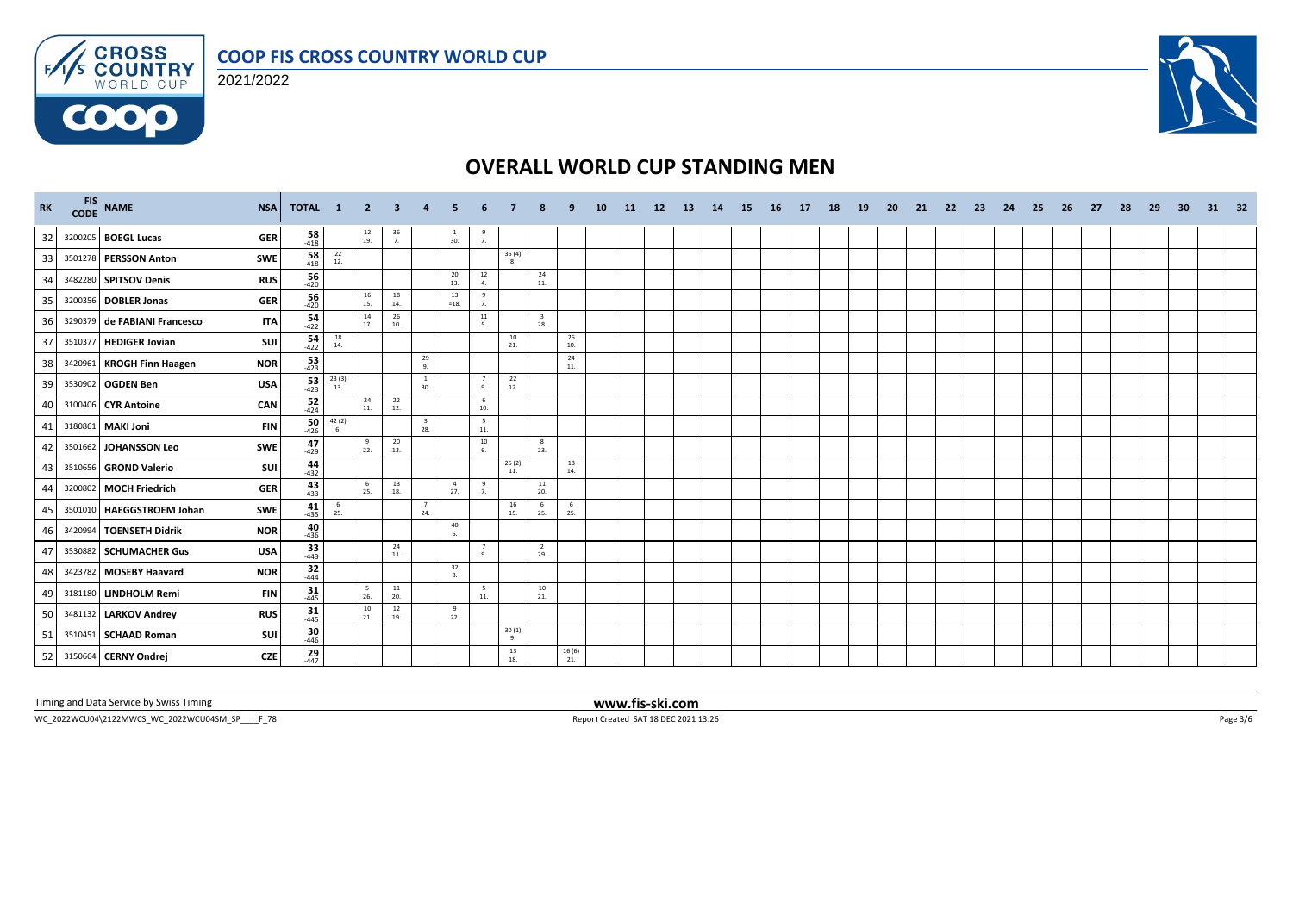



**COOO** 



# **OVERALL WORLD CUP STANDING MEN**

| RK | FIS NAME<br><b>NSA</b>                     | <b>TOTAL</b>        | $\mathbf{1}$                             | - 2                                      | -3             |                                |                       |                      |              |                                |              | 10 | -11 | <b>12</b> | -13 | 14 | -15 | - 16 | 17 | 18 | <b>19</b> | -20 | -21 | -22 | -23 | -24 | - 25 | -26 | -27 | -28 | -29 | -30 | 31 | 32 |
|----|--------------------------------------------|---------------------|------------------------------------------|------------------------------------------|----------------|--------------------------------|-----------------------|----------------------|--------------|--------------------------------|--------------|----|-----|-----------|-----|----|-----|------|----|----|-----------|-----|-----|-----|-----|-----|------|-----|-----|-----|-----|-----|----|----|
| 32 | 3200205 BOEGL Lucas<br><b>GER</b>          | $\frac{58}{-418}$   |                                          | $\begin{array}{c} 12 \\ 19. \end{array}$ | $\frac{36}{7}$ |                                | $\mathbf{1}$<br>30.   | $\frac{9}{7}$        |              |                                |              |    |     |           |     |    |     |      |    |    |           |     |     |     |     |     |      |     |     |     |     |     |    |    |
| 33 | 3501278 PERSSON Anton<br><b>SWE</b>        | $\frac{58}{418}$    | $\begin{array}{c} 22 \\ 12. \end{array}$ |                                          |                |                                |                       |                      | 36(4)<br>8.  |                                |              |    |     |           |     |    |     |      |    |    |           |     |     |     |     |     |      |     |     |     |     |     |    |    |
| 34 | 3482280 SPITSOV Denis<br><b>RUS</b>        | 56<br>$-420$        |                                          |                                          |                |                                | 20<br>13.             | 12<br>4.             |              | 24<br>11.                      |              |    |     |           |     |    |     |      |    |    |           |     |     |     |     |     |      |     |     |     |     |     |    |    |
| 35 | <b>GER</b><br>3200356 DOBLER Jonas         | 56<br>$-420$        |                                          | $\frac{16}{15}$                          | 18<br>14.      |                                | 13<br>$=18.$          | 9<br>7.              |              |                                |              |    |     |           |     |    |     |      |    |    |           |     |     |     |     |     |      |     |     |     |     |     |    |    |
| 36 | 3290379 de FABIANI Francesco<br><b>ITA</b> | $54 - 422$          |                                          | 14<br>17.                                | 26<br>10.      |                                |                       | 11<br>5.             |              | $\overline{\mathbf{3}}$<br>28. |              |    |     |           |     |    |     |      |    |    |           |     |     |     |     |     |      |     |     |     |     |     |    |    |
| 37 | 3510377 HEDIGER Jovian<br>SUI              | $54 - 422$          | $\begin{array}{c} 18 \\ 14. \end{array}$ |                                          |                |                                |                       |                      | 10<br>21.    |                                | 26<br>10.    |    |     |           |     |    |     |      |    |    |           |     |     |     |     |     |      |     |     |     |     |     |    |    |
| 38 | <b>NOR</b><br>3420961 KROGH Finn Haagen    | $\frac{53}{423}$    |                                          |                                          |                | 29<br>9.                       |                       |                      |              |                                | 24<br>11.    |    |     |           |     |    |     |      |    |    |           |     |     |     |     |     |      |     |     |     |     |     |    |    |
| 39 | 3530902 OGDEN Ben<br><b>USA</b>            | $\frac{53}{423}$    | 23(3)<br>13.                             |                                          |                | <sup>1</sup><br>30.            |                       | $\overline{7}$<br>9. | 22<br>12.    |                                |              |    |     |           |     |    |     |      |    |    |           |     |     |     |     |     |      |     |     |     |     |     |    |    |
| 40 | 3100406 CYR Antoine<br><b>CAN</b>          | $52$<br>-424        |                                          | 24<br>11.                                | 22<br>12.      |                                |                       | 6<br>10.             |              |                                |              |    |     |           |     |    |     |      |    |    |           |     |     |     |     |     |      |     |     |     |     |     |    |    |
| 41 | 3180861 MAKI Joni<br><b>FIN</b>            | $\frac{50}{426}$    | $\frac{42(2)}{6}$                        |                                          |                | $\overline{\mathbf{3}}$<br>28. |                       | 5<br>$11.$           |              |                                |              |    |     |           |     |    |     |      |    |    |           |     |     |     |     |     |      |     |     |     |     |     |    |    |
| 42 | 3501662 JOHANSSON Leo<br><b>SWE</b>        | 47<br>$-429$        |                                          | 9<br>22.                                 | 20<br>13.      |                                |                       | 10<br>6.             |              | 8<br>23.                       |              |    |     |           |     |    |     |      |    |    |           |     |     |     |     |     |      |     |     |     |     |     |    |    |
| 43 | 3510656 GROND Valerio<br>SUI               | 44<br>$-432$        |                                          |                                          |                |                                |                       |                      | 26(2)<br>11. |                                | 18<br>14.    |    |     |           |     |    |     |      |    |    |           |     |     |     |     |     |      |     |     |     |     |     |    |    |
| 44 | 3200802 MOCH Friedrich<br><b>GER</b>       | $43 - 433$          |                                          | 6<br>25.                                 | 13<br>18.      |                                | $\overline{4}$<br>27. | 9<br>7.              |              | $\frac{11}{20}$                |              |    |     |           |     |    |     |      |    |    |           |     |     |     |     |     |      |     |     |     |     |     |    |    |
| 45 | 3501010 HAEGGSTROEM Johan<br>SWE           | $41$ <sub>435</sub> | 6<br>25.                                 |                                          |                | $\overline{7}$<br>24.          |                       |                      | 16<br>15.    | - 6<br>25.                     | 6<br>25.     |    |     |           |     |    |     |      |    |    |           |     |     |     |     |     |      |     |     |     |     |     |    |    |
| 46 | <b>NOR</b><br>3420994 TOENSETH Didrik      | $40_{436}$          |                                          |                                          |                |                                | 40<br>-6              |                      |              |                                |              |    |     |           |     |    |     |      |    |    |           |     |     |     |     |     |      |     |     |     |     |     |    |    |
| 47 | <b>USA</b><br>3530882 SCHUMACHER Gus       | $33$<br>$443$       |                                          |                                          | 24<br>11.      |                                |                       | $\overline{7}$<br>9. |              | 2<br>29.                       |              |    |     |           |     |    |     |      |    |    |           |     |     |     |     |     |      |     |     |     |     |     |    |    |
| 48 | 3423782 MOSEBY Haavard<br><b>NOR</b>       | $32$<br>$444$       |                                          |                                          |                |                                | 32<br>8.              |                      |              |                                |              |    |     |           |     |    |     |      |    |    |           |     |     |     |     |     |      |     |     |     |     |     |    |    |
| 49 | 3181180 LINDHOLM Remi<br><b>FIN</b>        | $31$<br>$445$       |                                          | 5 <sup>5</sup><br>26.                    | 11<br>20.      |                                |                       | 5<br>$\bf 11.$       |              | 10<br>21.                      |              |    |     |           |     |    |     |      |    |    |           |     |     |     |     |     |      |     |     |     |     |     |    |    |
| 50 | 3481132 LARKOV Andrey<br><b>RUS</b>        | $31$ <sub>445</sub> |                                          | 10<br>21.                                | 12<br>19.      |                                | $\mathbf{q}$<br>22.   |                      |              |                                |              |    |     |           |     |    |     |      |    |    |           |     |     |     |     |     |      |     |     |     |     |     |    |    |
| 51 | 3510451 SCHAAD Roman<br>SUI                | $\frac{30}{446}$    |                                          |                                          |                |                                |                       |                      | 30(1)<br>9.  |                                |              |    |     |           |     |    |     |      |    |    |           |     |     |     |     |     |      |     |     |     |     |     |    |    |
| 52 | 3150664 CERNY Ondrej<br><b>CZE</b>         | $29 \atop 447$      |                                          |                                          |                |                                |                       |                      | 13<br>18.    |                                | 16(6)<br>21. |    |     |           |     |    |     |      |    |    |           |     |     |     |     |     |      |     |     |     |     |     |    |    |

Timing and Data Service by Swiss Timing **www.fis-ski.com**

WC\_2022WCU04\2122MWCS\_WC\_2022WCU04SM\_SP\_\_\_\_F\_78 Report Created SAT 18 DEC 2021 13:26 Page 3/6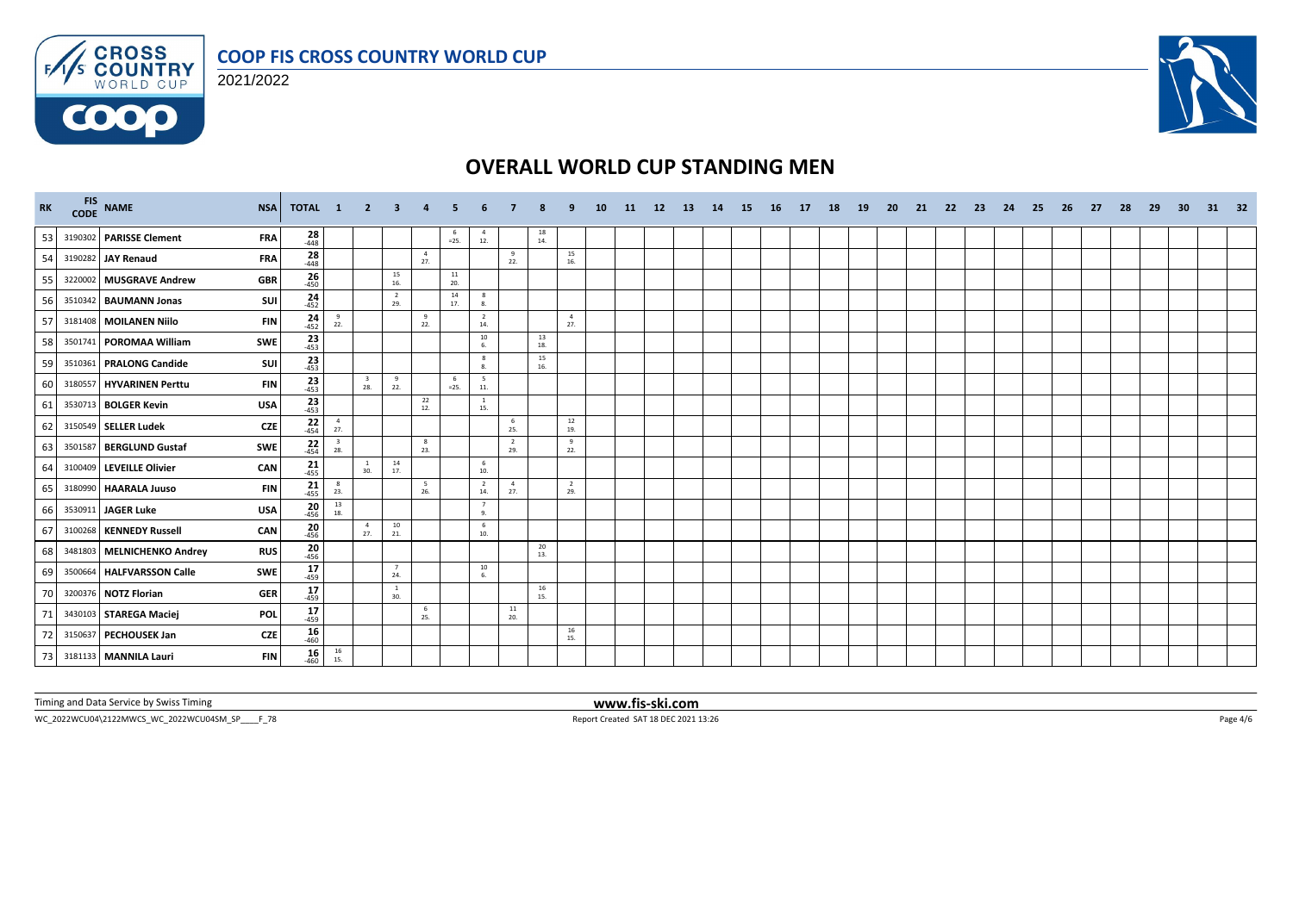



**COOO** 



# **OVERALL WORLD CUP STANDING MEN**

| RK |         | FIS NAME<br><b>NSA</b>                   | <b>TOTAL</b>        | $\blacksquare$                           | $\mathbf{2}$                   | -3                    |                       |               |                         |                       |                                          |                       | 10 | -11 | <b>12</b> | -13 | 14 | -15 | - 16 | 17 | 18 | 19 | -20 | -21 | -22 | - 23 | -24 | - 25 | -26 | -27 | 28 | 29 | -30 | 31 | 32 |
|----|---------|------------------------------------------|---------------------|------------------------------------------|--------------------------------|-----------------------|-----------------------|---------------|-------------------------|-----------------------|------------------------------------------|-----------------------|----|-----|-----------|-----|----|-----|------|----|----|----|-----|-----|-----|------|-----|------|-----|-----|----|----|-----|----|----|
| 53 |         | 3190302 PARISSE Clement<br><b>FRA</b>    | $\frac{28}{448}$    |                                          |                                |                       |                       | $=25.$        | $\overline{4}$<br>$12.$ |                       | $\begin{array}{c} 18 \\ 14. \end{array}$ |                       |    |     |           |     |    |     |      |    |    |    |     |     |     |      |     |      |     |     |    |    |     |    |    |
| 54 |         | 3190282 JAY Renaud<br><b>FRA</b>         | $\frac{28}{448}$    |                                          |                                |                       | $\overline{4}$<br>27. |               |                         | 9<br>22.              |                                          | 15<br>16.             |    |     |           |     |    |     |      |    |    |    |     |     |     |      |     |      |     |     |    |    |     |    |    |
| 55 |         | 3220002 MUSGRAVE Andrew<br><b>GBR</b>    | $26 - 450$          |                                          |                                | 15<br>16.             |                       | $11\,$<br>20. |                         |                       |                                          |                       |    |     |           |     |    |     |      |    |    |    |     |     |     |      |     |      |     |     |    |    |     |    |    |
| 56 |         | 3510342 BAUMANN Jonas<br>SUI             | $24 - 452$          |                                          |                                | $\overline{2}$<br>29. |                       | 14<br>17.     | 8<br>8.                 |                       |                                          |                       |    |     |           |     |    |     |      |    |    |    |     |     |     |      |     |      |     |     |    |    |     |    |    |
| 57 |         | 3181408 MOILANEN Niilo<br><b>FIN</b>     | $24 - 452$          | 9<br>22.                                 |                                |                       | 9<br>22.              |               | $\overline{2}$<br>14.   |                       |                                          | $\overline{4}$<br>27. |    |     |           |     |    |     |      |    |    |    |     |     |     |      |     |      |     |     |    |    |     |    |    |
| 58 |         | 3501741 POROMAA William<br>SWE           | $\frac{23}{453}$    |                                          |                                |                       |                       |               | 10<br>6.                |                       | 13<br>18.                                |                       |    |     |           |     |    |     |      |    |    |    |     |     |     |      |     |      |     |     |    |    |     |    |    |
| 59 |         | 3510361 PRALONG Candide<br><b>SUI</b>    | $23 - 453$          |                                          |                                |                       |                       |               | 8<br>8.                 |                       | $15\atop 16.$                            |                       |    |     |           |     |    |     |      |    |    |    |     |     |     |      |     |      |     |     |    |    |     |    |    |
| 60 |         | 3180557 HYVARINEN Perttu<br><b>FIN</b>   | $\frac{23}{453}$    |                                          | $\overline{\mathbf{3}}$<br>28. | 9<br>22.              |                       | -6<br>$=25.$  | 5<br>11.                |                       |                                          |                       |    |     |           |     |    |     |      |    |    |    |     |     |     |      |     |      |     |     |    |    |     |    |    |
| 61 |         | 3530713 BOLGER Kevin<br><b>USA</b>       | $\frac{23}{453}$    |                                          |                                |                       | 22<br>12.             |               | $\overline{1}$<br>15.   |                       |                                          |                       |    |     |           |     |    |     |      |    |    |    |     |     |     |      |     |      |     |     |    |    |     |    |    |
| 62 |         | 3150549 SELLER Ludek<br><b>CZE</b>       | $\frac{22}{454}$    | $\frac{4}{27}$ .                         |                                |                       |                       |               |                         | -6<br>25.             |                                          | 12<br>19.             |    |     |           |     |    |     |      |    |    |    |     |     |     |      |     |      |     |     |    |    |     |    |    |
| 63 | 3501587 | <b>BERGLUND Gustaf</b><br><b>SWE</b>     | $\frac{22}{454}$    | $\overline{\mathbf{3}}$<br>28.           |                                |                       | 8<br>23.              |               |                         | $\overline{2}$<br>29. |                                          | 9<br>22.              |    |     |           |     |    |     |      |    |    |    |     |     |     |      |     |      |     |     |    |    |     |    |    |
| 64 |         | 3100409 LEVEILLE Olivier<br><b>CAN</b>   | $21$ <sub>455</sub> |                                          | $\overline{1}$<br>30.          | 14<br>17.             |                       |               | 6<br>10.                |                       |                                          |                       |    |     |           |     |    |     |      |    |    |    |     |     |     |      |     |      |     |     |    |    |     |    |    |
| 65 | 3180990 | <b>HAARALA Juuso</b><br><b>FIN</b>       | $21 - 455$          | $\frac{8}{23}$                           |                                |                       | 5<br>26.              |               | $\overline{2}$<br>14.   | $\overline{4}$<br>27. |                                          | $\overline{2}$<br>29. |    |     |           |     |    |     |      |    |    |    |     |     |     |      |     |      |     |     |    |    |     |    |    |
| 66 |         | 3530911 JAGER Luke<br><b>USA</b>         | $20_{456}$          | 13<br>18.                                |                                |                       |                       |               | $\overline{7}$<br>9.    |                       |                                          |                       |    |     |           |     |    |     |      |    |    |    |     |     |     |      |     |      |     |     |    |    |     |    |    |
| 67 |         | 3100268 KENNEDY Russell<br>CAN           | $\frac{20}{456}$    |                                          | $\sim$ 4<br>27.                | 10<br>21.             |                       |               | 6<br>10.                |                       |                                          |                       |    |     |           |     |    |     |      |    |    |    |     |     |     |      |     |      |     |     |    |    |     |    |    |
| 68 |         | 3481803 MELNICHENKO Andrey<br><b>RUS</b> | $20_{456}$          |                                          |                                |                       |                       |               |                         |                       | 20<br>13.                                |                       |    |     |           |     |    |     |      |    |    |    |     |     |     |      |     |      |     |     |    |    |     |    |    |
| 69 |         | 3500664 HALFVARSSON Calle<br><b>SWE</b>  | $17 - 459$          |                                          |                                | $\overline{7}$<br>24. |                       |               | 10<br>6.                |                       |                                          |                       |    |     |           |     |    |     |      |    |    |    |     |     |     |      |     |      |     |     |    |    |     |    |    |
| 70 |         | 3200376 NOTZ Florian<br><b>GER</b>       | 17<br>$-459$        |                                          |                                | <sup>1</sup><br>30.   |                       |               |                         |                       | 16<br>15.                                |                       |    |     |           |     |    |     |      |    |    |    |     |     |     |      |     |      |     |     |    |    |     |    |    |
| 71 |         | 3430103 STAREGA Maciej<br><b>POL</b>     | $\frac{17}{459}$    |                                          |                                |                       | - 6<br>25.            |               |                         | 11<br>20.             |                                          |                       |    |     |           |     |    |     |      |    |    |    |     |     |     |      |     |      |     |     |    |    |     |    |    |
| 72 |         | 3150637 PECHOUSEK Jan<br><b>CZE</b>      | $16 \over 460$      |                                          |                                |                       |                       |               |                         |                       |                                          | 16<br>15.             |    |     |           |     |    |     |      |    |    |    |     |     |     |      |     |      |     |     |    |    |     |    |    |
| 73 |         | 3181133 MANNILA Lauri<br><b>FIN</b>      | 16<br>$-460$        | $\begin{array}{c} 16 \\ 15. \end{array}$ |                                |                       |                       |               |                         |                       |                                          |                       |    |     |           |     |    |     |      |    |    |    |     |     |     |      |     |      |     |     |    |    |     |    |    |

Timing and Data Service by Swiss Timing **www.fis-ski.com**

WC\_2022WCU04\2122MWCS\_WC\_2022WCU04SM\_SP\_\_\_\_F\_78 Report Created SAT 18 DEC 2021 13:26 Page 4/6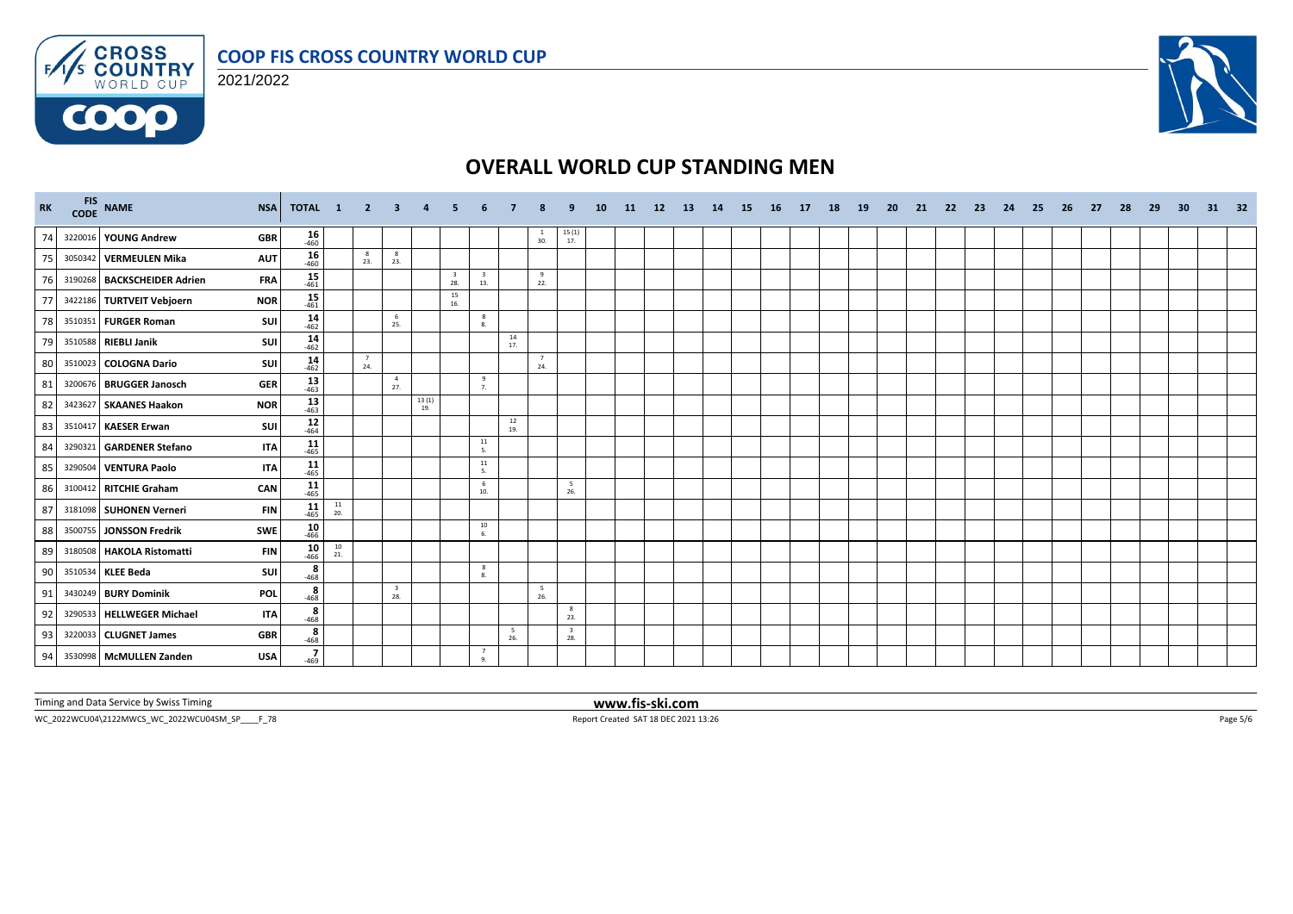

#### 2021/2022



# **OVERALL WORLD CUP STANDING MEN**

| RK | FIS NAME | <b>NSA</b>                                | TOTAL 1          |                                          | $\overline{2}$        | 3                              | $\overline{4}$     | 5.                             |                                |                                          |                     |                                              | 10 | <b>11</b> | 12 | <b>13</b> | 14 | 15 | - 16 | 17 | 18 | 19 | 20 | 21 | - 22 | - 23 | 24 | - 25 | 26 | -27 | 28 | - 29 | 30 | 31 | 32 |
|----|----------|-------------------------------------------|------------------|------------------------------------------|-----------------------|--------------------------------|--------------------|--------------------------------|--------------------------------|------------------------------------------|---------------------|----------------------------------------------|----|-----------|----|-----------|----|----|------|----|----|----|----|----|------|------|----|------|----|-----|----|------|----|----|----|
| 74 |          | 3220016 YOUNG Andrew<br><b>GBR</b>        | $16 \over 460$   |                                          |                       |                                |                    |                                |                                |                                          | $\mathbf{1}$<br>30. | $\begin{array}{c} 15\ (1)\\ 17. \end{array}$ |    |           |    |           |    |    |      |    |    |    |    |    |      |      |    |      |    |     |    |      |    |    |    |
| 75 |          | 3050342 VERMEULEN Mika<br><b>AUT</b>      | $16 \over 460$   |                                          | $_{\rm 8}$<br>23.     | 8<br>23.                       |                    |                                |                                |                                          |                     |                                              |    |           |    |           |    |    |      |    |    |    |    |    |      |      |    |      |    |     |    |      |    |    |    |
| 76 |          | 3190268 BACKSCHEIDER Adrien<br><b>FRA</b> | $15 - 461$       |                                          |                       |                                |                    | $\overline{\mathbf{3}}$<br>28. | $\overline{\mathbf{3}}$<br>13. |                                          | 9<br>22.            |                                              |    |           |    |           |    |    |      |    |    |    |    |    |      |      |    |      |    |     |    |      |    |    |    |
| 77 |          | 3422186 TURTVEIT Vebjoern<br><b>NOR</b>   | $15$<br>$461$    |                                          |                       |                                |                    | 15<br>16.                      |                                |                                          |                     |                                              |    |           |    |           |    |    |      |    |    |    |    |    |      |      |    |      |    |     |    |      |    |    |    |
| 78 |          | 3510351 FURGER Roman<br><b>SUI</b>        | $14 - 462$       |                                          |                       | 6<br>25.                       |                    |                                | 8<br>8.                        |                                          |                     |                                              |    |           |    |           |    |    |      |    |    |    |    |    |      |      |    |      |    |     |    |      |    |    |    |
| 79 |          | SUI<br>3510588 RIEBLI Janik               | $14 \over 462$   |                                          |                       |                                |                    |                                |                                | 14<br>17.                                |                     |                                              |    |           |    |           |    |    |      |    |    |    |    |    |      |      |    |      |    |     |    |      |    |    |    |
| 80 |          | SUI<br>3510023 COLOGNA Dario              | $14 \over 462$   |                                          | $\overline{7}$<br>24. |                                |                    |                                |                                |                                          | 7<br>24.            |                                              |    |           |    |           |    |    |      |    |    |    |    |    |      |      |    |      |    |     |    |      |    |    |    |
| 81 |          | <b>GER</b><br>3200676 BRUGGER Janosch     | $\frac{13}{463}$ |                                          |                       | $\overline{4}$<br>27.          |                    |                                | 9<br>7.                        |                                          |                     |                                              |    |           |    |           |    |    |      |    |    |    |    |    |      |      |    |      |    |     |    |      |    |    |    |
| 82 |          | 3423627 SKAANES Haakon<br><b>NOR</b>      | $13 \over 463$   |                                          |                       |                                | $\frac{13(1)}{19}$ |                                |                                |                                          |                     |                                              |    |           |    |           |    |    |      |    |    |    |    |    |      |      |    |      |    |     |    |      |    |    |    |
| 83 |          | 3510417 KAESER Erwan<br><b>SUI</b>        | $12$<br>-464     |                                          |                       |                                |                    |                                |                                | $\begin{array}{c} 12 \\ 19. \end{array}$ |                     |                                              |    |           |    |           |    |    |      |    |    |    |    |    |      |      |    |      |    |     |    |      |    |    |    |
| 84 |          | 3290321 GARDENER Stefano<br><b>ITA</b>    | $11$<br>$465$    |                                          |                       |                                |                    |                                | 11<br>5.                       |                                          |                     |                                              |    |           |    |           |    |    |      |    |    |    |    |    |      |      |    |      |    |     |    |      |    |    |    |
| 85 |          | 3290504 VENTURA Paolo<br><b>ITA</b>       | $11$<br>$465$    |                                          |                       |                                |                    |                                | 11<br>5.                       |                                          |                     |                                              |    |           |    |           |    |    |      |    |    |    |    |    |      |      |    |      |    |     |    |      |    |    |    |
| 86 |          | 3100412 RITCHIE Graham<br>CAN             | $11$<br>$465$    |                                          |                       |                                |                    |                                | 6<br>10.                       |                                          |                     | 5<br>26.                                     |    |           |    |           |    |    |      |    |    |    |    |    |      |      |    |      |    |     |    |      |    |    |    |
| 87 |          | 3181098 SUHONEN Verneri<br><b>FIN</b>     | $11$<br>-465     | 11<br>20.                                |                       |                                |                    |                                |                                |                                          |                     |                                              |    |           |    |           |    |    |      |    |    |    |    |    |      |      |    |      |    |     |    |      |    |    |    |
| 88 |          | <b>SWE</b><br>3500755 JONSSON Fredrik     | $10\n466$        |                                          |                       |                                |                    |                                | 10<br>6.                       |                                          |                     |                                              |    |           |    |           |    |    |      |    |    |    |    |    |      |      |    |      |    |     |    |      |    |    |    |
| 89 |          | 3180508 HAKOLA Ristomatti<br><b>FIN</b>   | $10^{46}$        | $\begin{array}{c} 10 \\ 21. \end{array}$ |                       |                                |                    |                                |                                |                                          |                     |                                              |    |           |    |           |    |    |      |    |    |    |    |    |      |      |    |      |    |     |    |      |    |    |    |
| 90 |          | 3510534 KLEE Beda<br>SUI                  | $\frac{8}{-468}$ |                                          |                       |                                |                    |                                | 8<br>8.                        |                                          |                     |                                              |    |           |    |           |    |    |      |    |    |    |    |    |      |      |    |      |    |     |    |      |    |    |    |
| 91 |          | 3430249 BURY Dominik<br><b>POL</b>        | 8<br>$-468$      |                                          |                       | $\overline{\mathbf{3}}$<br>28. |                    |                                |                                |                                          | 5<br>26.            |                                              |    |           |    |           |    |    |      |    |    |    |    |    |      |      |    |      |    |     |    |      |    |    |    |
| 92 |          | 3290533 HELLWEGER Michael<br><b>ITA</b>   | $\frac{8}{-468}$ |                                          |                       |                                |                    |                                |                                |                                          |                     | $_{8}$<br>23.                                |    |           |    |           |    |    |      |    |    |    |    |    |      |      |    |      |    |     |    |      |    |    |    |
| 93 |          | 3220033 CLUGNET James<br><b>GBR</b>       | $rac{8}{468}$    |                                          |                       |                                |                    |                                |                                | - 5<br>26.                               |                     | $\overline{\mathbf{3}}$<br>28.               |    |           |    |           |    |    |      |    |    |    |    |    |      |      |    |      |    |     |    |      |    |    |    |
| 94 |          | 3530998 McMULLEN Zanden<br><b>USA</b>     | $\frac{7}{-469}$ |                                          |                       |                                |                    |                                | 7<br>$Q_{\perp}$               |                                          |                     |                                              |    |           |    |           |    |    |      |    |    |    |    |    |      |      |    |      |    |     |    |      |    |    |    |

Timing and Data Service by Swiss Timing **www.fis-ski.com**

WC\_2022WCU04\2122MWCS\_WC\_2022WCU04SM\_SP\_\_\_\_F\_78 Report Created SAT 18 DEC 2021 13:26 Page 5/6